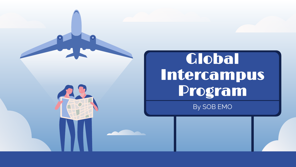

# Global Intercampus Program

By SOB EMO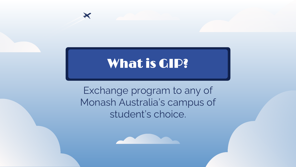# What is GIP?

 $\bm{\times}$ 

Exchange program to any of Monash Australia's campus of student's choice.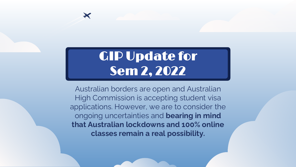# GIP Update for Sem 2, 2022

 $\boldsymbol{\times}$ 

Australian borders are open and Australian High Commission is accepting student visa applications. However, we are to consider the ongoing uncertainties and **bearing in mind that Australian lockdowns and 100% online classes remain a real possibility.**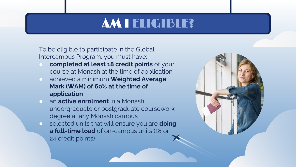# AM I ELIGIBLE?

To be eligible to participate in the Global Intercampus Program, you must have:

- **completed at least 18 credit points** of your course at Monash at the time of application
- achieved a minimum **Weighted Average Mark (WAM) of 60% at the time of application**
- an **active enrolment** in a Monash undergraduate or postgraduate coursework degree at any Monash campus
- selected units that will ensure you are **doing a full-time load** of on-campus units (18 or 24 credit points)

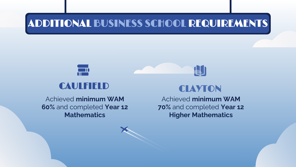## ADDITIONAL BUSINESS SCHOOL REQUIREMENTS



#### CAULFIELD CLAYTON

Achieved **minimum WAM 60%** and completed **Year 12 Mathematics**

**AJ** 

Achieved **minimum WAM 70%** and completed **Year 12 Higher Mathematics**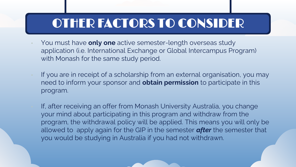# OTHER FACTORS TO CONSIDER

- You must have **only one** active semester-length overseas study application (i.e. International Exchange or Global Intercampus Program) with Monash for the same study period.
- If you are in receipt of a scholarship from an external organisation, you may need to inform your sponsor and **obtain permission** to participate in this program.
	- If, after receiving an offer from Monash University Australia, you change your mind about participating in this program and withdraw from the program, the withdrawal policy will be applied. This means you will only be allowed to apply again for the GIP in the semester *after* the semester that you would be studying in Australia if you had not withdrawn.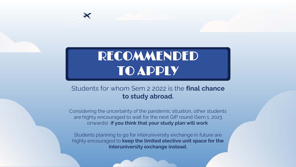# RECOMMENDED TO APPLY

 $\blacktriangleright$ 

#### Students for whom Sem 2 2022 is the **final chance to study abroad.**

Considering the uncertainty of the pandemic situation, other students are highly encouraged to wait for the next GIP round (Sem 1, 2023 onwards) **if you think that your study plan will work**.

Students planning to go for interuniversity exchange in future are highly encouraged to **keep the limited elective unit space for the interuniversity exchange instead.**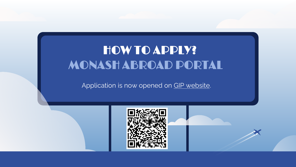# MONASH ABROAD PORTAL HOW TO APPLY?

Application is now opened on [GIP website](https://www.monash.edu.my/study-abroad/outbound/intercampus-exchange).

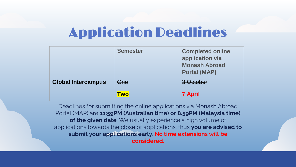# Application Deadlines

|                           | <b>Semester</b> | <b>Completed online</b><br>application via<br><b>Monash Abroad</b><br><b>Portal (MAP)</b> |
|---------------------------|-----------------|-------------------------------------------------------------------------------------------|
| <b>Global Intercampus</b> | Əne             | 3 October                                                                                 |
|                           | <b>Two</b>      | <b>7 April</b>                                                                            |

Deadlines for submitting the online applications via Monash Abroad Portal (MAP) are **11:59PM (Australian time) or 8.59PM (Malaysia time) of the given date**. We usually experience a high volume of applications towards the close of applications; thus **you are advised to submit your applications early**. **No time extensions will be considered.**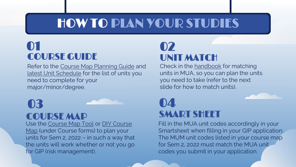# HOW TO PLAN YOUR STUDIES

### 01 COURSE GUIDE

Refer to the [Course Map Planning Guide](https://www.monash.edu.my/business/current/undergraduate-students/course-map-planning-guide) and [latest Unit Schedule](https://www.monash.edu.my/business/current/undergraduate-students/unit-schedules) for the list of units you need to complete for your major/minor/degree.

# 03

#### COURSE MAP

Use the [Course Map Tool](https://www.monash.edu.my/business/current/undergraduate-students/course-map-tool) or DIY Course Map [\(under Course forms\) to plan your](https://www.monash.edu.my/business/current/undergraduate-students/student-online-forms)  units for Sem 2, 2022 – in such a way that the units will work whether or not you go for GIP (risk management).

### UNIT MATCH 02

Check in the [handbook](https://handbook.monash.edu/browse/By%20Faculty/FacultyofBusinessandEconomics) for matching units in MUA, so you can plan the units you need to take (refer to the next slide for how to match units).

### SMART SHEET 04

Fill in the MUA unit codes accordingly in your Smartsheet when filling in your GIP application. The MUM unit codes listed in your course map for Sem 2, 2022 must match the MUA unit codes you submit in your application.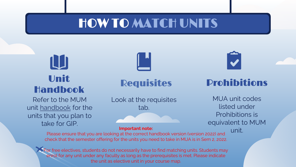# HOW TO MATCH UNITS

# LUI Unit Handbook

Refer to the MUM unit [handbook](https://handbook.monash.edu/browse/By%20Faculty/FacultyofBusinessandEconomics) for the units that you plan to take for GIP.



#### **Requisites**

Look at the requisites tab.

#### Prohibitions

MUA unit codes listed under Prohibitions is equivalent to MUM

unit. **Important note:**  Please ensure that you are looking at the correct handbook version (version 2022) and check that the semester offering for the units you need to take in MUA is in Sem 2, 2022.

 $\triangleright$  For free electives, students do not necessarily have to find matching units. Students may enrol for any unit under any faculty as long as the prerequisites is met. Please indicate the unit as elective unit in your course map.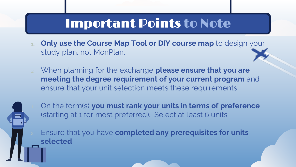# Important Points to Note

- **1. Only use the Course Map Tool or DIY course map** to design your study plan, not MonPlan.
- 2. When planning for the exchange **please ensure that you are meeting the degree requirement of your current program** and ensure that your unit selection meets these requirements



1. On the form(s) **you must rank your units in terms of preference**  (starting at 1 for most preferred). Select at least 6 units.

2. Ensure that you have **completed any prerequisites for units selected**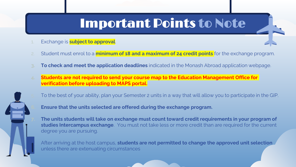# Important Points to Note

- Exchange is **subject to approval**.
- 2. Student must enrol to a **minimum of 18 and a maximum of 24 credit points** for the exchange program.
- **3. To check and meet the application deadlines** indicated in the Monash Abroad application webpage.
- **4. Students are not required to send your course map to the Education Management Office for verification before uploading to MAPS portal.**



**6. Ensure that the units selected are offered during the exchange program.**

**7. The units students will take on exchange must count toward credit requirements in your program of studies Intercampus exchange**. You must not take less or more credit than are required for the current degree you are pursuing.

After arriving at the host campus, **students are not permitted to change the approved unit selection** unless there are extenuating circumstances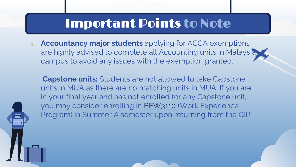# Important Points to Note

- **1. Accountancy major students** applying for ACCA exemptions are highly advised to complete all Accounting units in Malaysia campus to avoid any issues with the exemption granted.
- **2. Capstone units:** Students are not allowed to take Capstone units in MUA as there are no matching units in MUA. If you are in your final year and has not enrolled for any Capstone unit, you may consider enrolling in [BEW3110](https://handbook.monash.edu/2022/units/BEW3110?year=2022) (Work Experience Program) in Summer A semester upon returning from the GIP.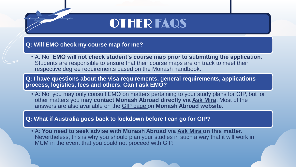# OTHER FAQS

**Q: Will EMO check my course map for me?**

• A: No, **EMO will not check student's course map prior to submitting the application**. Students are responsible to ensure that their course maps are on track to meet their respective degree requirements based on the Monash handbook.

**Q: I have questions about the visa requirements, general requirements, applications process, logistics, fees and others. Can I ask EMO?** 

• A: No, you may only consult EMO on matters pertaining to your study plans for GIP, but for other matters you may **contact Monash Abroad directly via [Ask Mira](https://askmira.monash.edu.my/tickets.php)**. Most of the answers are also available on the [GIP page](https://www.monash.edu.my/study-abroad/outbound/intercampus-exchange) on **Monash Abroad website**.

**Q: What if Australia goes back to lockdown before I can go for GIP?**

• A: **You need to seek advise with Monash Abroad via [Ask Mira o](https://askmira.monash.edu.my/tickets.php)n this matter.**  Nevertheless, this is why you should plan your studies in such a way that it will work in MUM in the event that you could not proceed with GIP.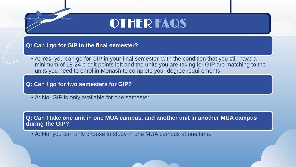# OTHER FAQS

**Q: Can I go for GIP in the final semester?**

• A: Yes, you can go for GIP in your final semester, with the condition that you still have a minimum of 18-24 credit points left and the units you are taking for GIP are matching to the units you need to enrol in Monash to complete your degree requirements.

**Q: Can I go for two semesters for GIP?**

• A: No, GIP is only available for one semester.

**Q: Can I take one unit in one MUA campus, and another unit in another MUA campus during the GIP?**

• A: No, you can only choose to study in one MUA campus at one time.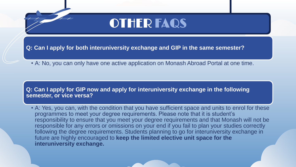# OTHER FAQS

**Q: Can I apply for both interuniversity exchange and GIP in the same semester?**

• A: No, you can only have one active application on Monash Abroad Portal at one time.

**Q: Can I apply for GIP now and apply for interuniversity exchange in the following semester, or vice versa?**

• A: Yes, you can, with the condition that you have sufficient space and units to enrol for these programmes to meet your degree requirements. Please note that it is student's responsibility to ensure that you meet your degree requirements and that Monash will not be responsible for any errors or omissions on your end if you fail to plan your studies correctly following the degree requirements. Students planning to go for interuniversity exchange in future are highly encouraged to **keep the limited elective unit space for the interuniversity exchange.**